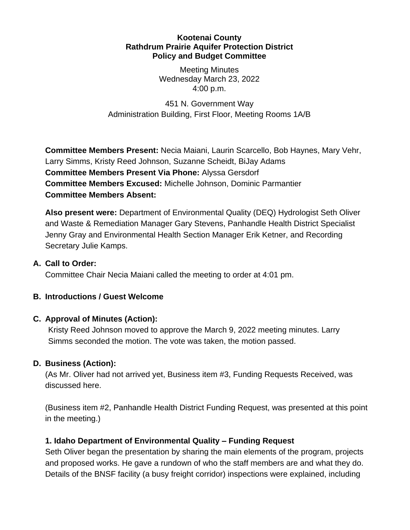#### **Kootenai County Rathdrum Prairie Aquifer Protection District Policy and Budget Committee**

Meeting Minutes Wednesday March 23, 2022 4:00 p.m.

451 N. Government Way Administration Building, First Floor, Meeting Rooms 1A/B

**Committee Members Present:** Necia Maiani, Laurin Scarcello, Bob Haynes, Mary Vehr, Larry Simms, Kristy Reed Johnson, Suzanne Scheidt, BiJay Adams **Committee Members Present Via Phone:** Alyssa Gersdorf **Committee Members Excused:** Michelle Johnson, Dominic Parmantier **Committee Members Absent:**

**Also present were:** Department of Environmental Quality (DEQ) Hydrologist Seth Oliver and Waste & Remediation Manager Gary Stevens, Panhandle Health District Specialist Jenny Gray and Environmental Health Section Manager Erik Ketner, and Recording Secretary Julie Kamps.

### **A. Call to Order:**

Committee Chair Necia Maiani called the meeting to order at 4:01 pm.

### **B. Introductions / Guest Welcome**

### **C. Approval of Minutes (Action):**

Kristy Reed Johnson moved to approve the March 9, 2022 meeting minutes. Larry Simms seconded the motion. The vote was taken, the motion passed.

### **D. Business (Action):**

(As Mr. Oliver had not arrived yet, Business item #3, Funding Requests Received, was discussed here.

(Business item #2, Panhandle Health District Funding Request, was presented at this point in the meeting.)

### **1. Idaho Department of Environmental Quality – Funding Request**

Seth Oliver began the presentation by sharing the main elements of the program, projects and proposed works. He gave a rundown of who the staff members are and what they do. Details of the BNSF facility (a busy freight corridor) inspections were explained, including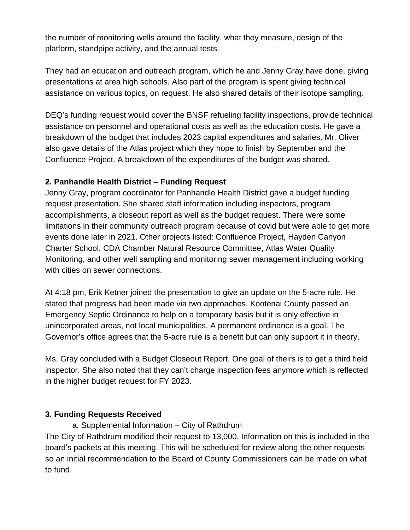the number of monitoring wells around the facility, what they measure, design of the platform, standpipe activity, and the annual tests.

They had an education and outreach program, which he and Jenny Gray have done, giving presentations at area high schools. Also part of the program is spent giving technical assistance on various topics, on request. He also shared details of their isotope sampling.

DEQ's funding request would cover the BNSF refueling facility inspections, provide technical assistance on personnel and operational costs as well as the education costs. He gave a breakdown of the budget that includes 2023 capital expenditures and salaries. Mr. Oliver also gave details of the Atlas project which they hope to finish by September and the Confluence Project. A breakdown of the expenditures of the budget was shared.

### **2. Panhandle Health District – Funding Request**

Jenny Gray, program coordinator for Panhandle Health District gave a budget funding request presentation. She shared staff information including inspectors, program accomplishments, a closeout report as well as the budget request. There were some limitations in their community outreach program because of covid but were able to get more events done later in 2021. Other projects listed: Confluence Project, Hayden Canyon Charter School, CDA Chamber Natural Resource Committee, Atlas Water Quality Monitoring, and other well sampling and monitoring sewer management including working with cities on sewer connections.

At 4:18 pm, Erik Ketner joined the presentation to give an update on the 5-acre rule. He stated that progress had been made via two approaches. Kootenai County passed an Emergency Septic Ordinance to help on a temporary basis but it is only effective in unincorporated areas, not local municipalities. A permanent ordinance is a goal. The Governor's office agrees that the 5-acre rule is a benefit but can only support it in theory.

Ms. Gray concluded with a Budget Closeout Report. One goal of theirs is to get a third field inspector. She also noted that they can't charge inspection fees anymore which is reflected in the higher budget request for FY 2023.

### **3. Funding Requests Received**

a. Supplemental Information – City of Rathdrum The City of Rathdrum modified their request to 13,000. Information on this is included in the board's packets at this meeting. This will be scheduled for review along the other requests so an initial recommendation to the Board of County Commissioners can be made on what to fund.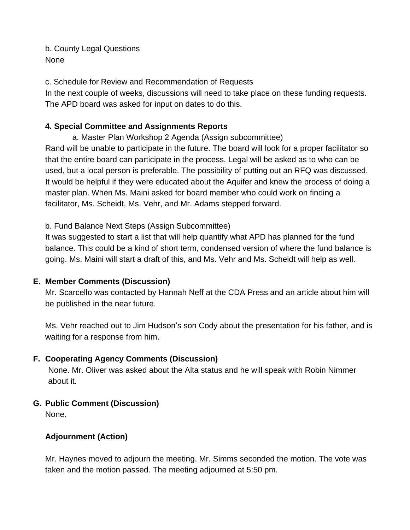b. County Legal Questions None

c. Schedule for Review and Recommendation of Requests

In the next couple of weeks, discussions will need to take place on these funding requests. The APD board was asked for input on dates to do this.

## **4. Special Committee and Assignments Reports**

a. Master Plan Workshop 2 Agenda (Assign subcommittee) Rand will be unable to participate in the future. The board will look for a proper facilitator so that the entire board can participate in the process. Legal will be asked as to who can be used, but a local person is preferable. The possibility of putting out an RFQ was discussed. It would be helpful if they were educated about the Aquifer and knew the process of doing a master plan. When Ms. Maini asked for board member who could work on finding a facilitator, Ms. Scheidt, Ms. Vehr, and Mr. Adams stepped forward.

### b. Fund Balance Next Steps (Assign Subcommittee)

It was suggested to start a list that will help quantify what APD has planned for the fund balance. This could be a kind of short term, condensed version of where the fund balance is going. Ms. Maini will start a draft of this, and Ms. Vehr and Ms. Scheidt will help as well.

### **E. Member Comments (Discussion)**

Mr. Scarcello was contacted by Hannah Neff at the CDA Press and an article about him will be published in the near future.

Ms. Vehr reached out to Jim Hudson's son Cody about the presentation for his father, and is waiting for a response from him.

### **F. Cooperating Agency Comments (Discussion)**

None. Mr. Oliver was asked about the Alta status and he will speak with Robin Nimmer about it.

### **G. Public Comment (Discussion)**

None.

# **Adjournment (Action)**

Mr. Haynes moved to adjourn the meeting. Mr. Simms seconded the motion. The vote was taken and the motion passed. The meeting adjourned at 5:50 pm.